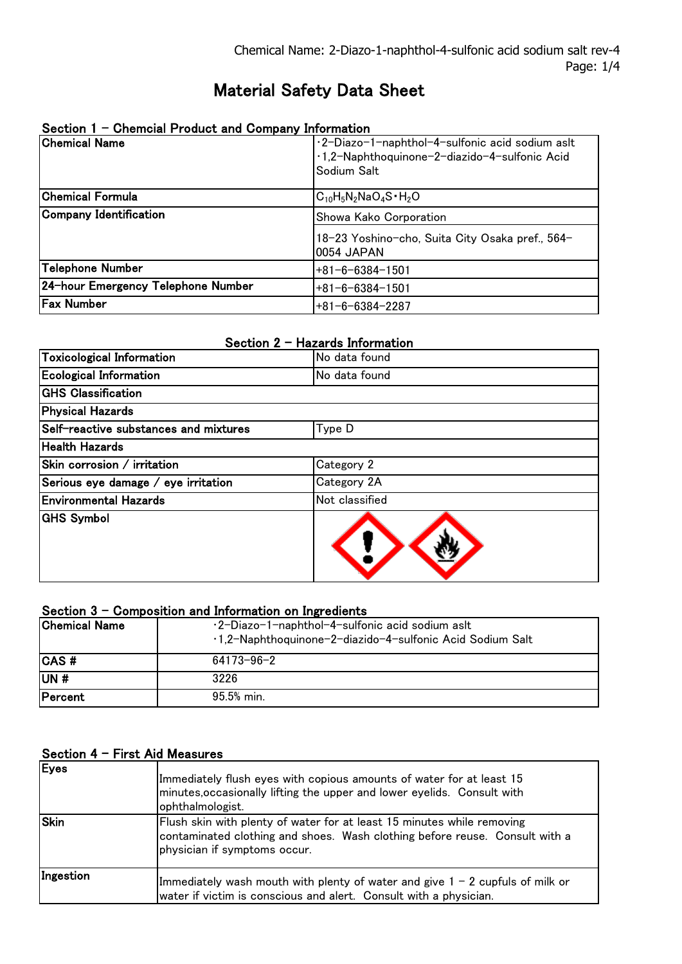# Material Safety Data Sheet

| Section 1 - Chemcial Product and Company Information |                                                                                                  |  |
|------------------------------------------------------|--------------------------------------------------------------------------------------------------|--|
| <b>Chemical Name</b>                                 | ·2-Diazo-1-naphthol-4-sulfonic acid sodium aslt<br>·1,2-Naphthoquinone-2-diazido-4-sulfonic Acid |  |
|                                                      | Sodium Salt                                                                                      |  |
| <b>Chemical Formula</b>                              | $C_{10}H_5N_2NaO_4S \cdot H_2O$                                                                  |  |
| Company Identification                               | Showa Kako Corporation                                                                           |  |
|                                                      | 18-23 Yoshino-cho, Suita City Osaka pref., 564-<br>0054 JAPAN                                    |  |
| Telephone Number                                     | $+81 - 6 - 6384 - 1501$                                                                          |  |
| 24-hour Emergency Telephone Number                   | $+81 - 6 - 6384 - 1501$                                                                          |  |
| Fax Number                                           | $+81 - 6 - 6384 - 2287$                                                                          |  |

# Section 2 - Hazards Information

| Toxicological Information             | No data found  |
|---------------------------------------|----------------|
| <b>Ecological Information</b>         | No data found  |
| <b>GHS Classification</b>             |                |
| Physical Hazards                      |                |
| Self-reactive substances and mixtures | Type D         |
| <b>Health Hazards</b>                 |                |
| Skin corrosion / irritation           | Category 2     |
| Serious eye damage / eye irritation   | Category 2A    |
| <b>Environmental Hazards</b>          | Not classified |
| <b>GHS Symbol</b>                     |                |

### Section 3 - Composition and Information on Ingredients

| <b>Chemical Name</b> | ·2-Diazo-1-naphthol-4-sulfonic acid sodium aslt<br>·1,2-Naphthoquinone-2-diazido-4-sulfonic Acid Sodium Salt |
|----------------------|--------------------------------------------------------------------------------------------------------------|
| <b>CAS</b> #         | 64173-96-2                                                                                                   |
| UN#                  | 3226                                                                                                         |
| <b>Percent</b>       | 95.5% min.                                                                                                   |

### Section 4 - First Aid Measures

| Eyes        | Immediately flush eyes with copious amounts of water for at least 15<br>minutes, occasionally lifting the upper and lower eyelids. Consult with<br>ophthalmologist.                   |
|-------------|---------------------------------------------------------------------------------------------------------------------------------------------------------------------------------------|
| <b>Skin</b> | Flush skin with plenty of water for at least 15 minutes while removing<br>contaminated clothing and shoes. Wash clothing before reuse. Consult with a<br>physician if symptoms occur. |
| Ingestion   | Immediately wash mouth with plenty of water and give $1 - 2$ cupfuls of milk or<br>water if victim is conscious and alert. Consult with a physician.                                  |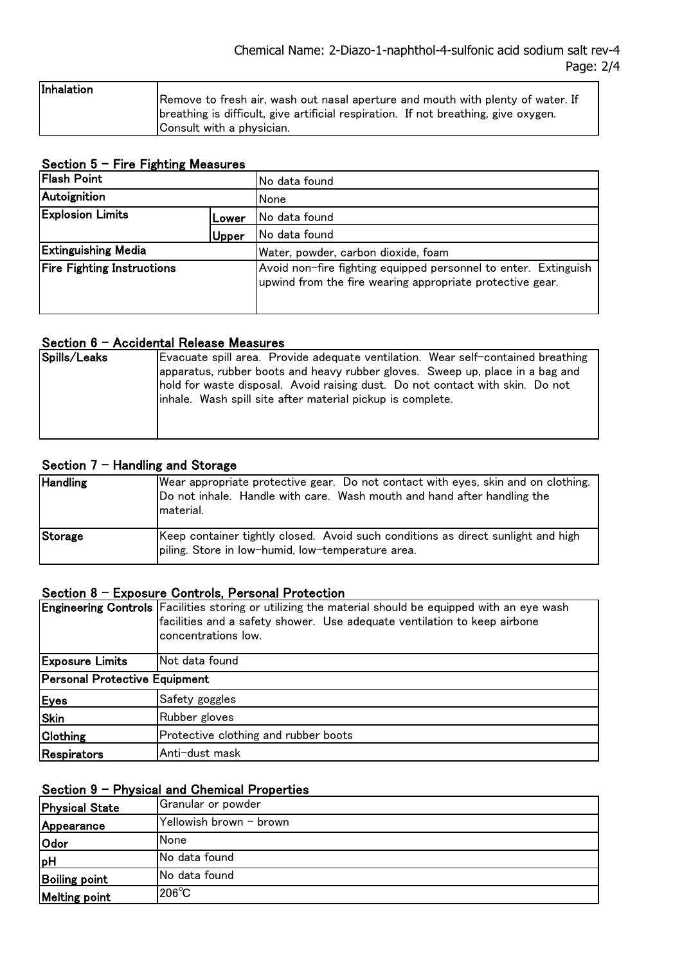| Inhalation |                                                                                     |
|------------|-------------------------------------------------------------------------------------|
|            | Remove to fresh air, wash out nasal aperture and mouth with plenty of water. If     |
|            | breathing is difficult, give artificial respiration. If not breathing, give oxygen. |
|            | Consult with a physician.                                                           |

### Section 5 - Fire Fighting Measures

| <b>Flash Point</b>                |       | No data found                                                                                                                |
|-----------------------------------|-------|------------------------------------------------------------------------------------------------------------------------------|
| Autoignition                      |       | None                                                                                                                         |
| <b>Explosion Limits</b><br>Lower  |       | No data found                                                                                                                |
|                                   | Upper | No data found                                                                                                                |
| <b>Extinguishing Media</b>        |       | Water, powder, carbon dioxide, foam                                                                                          |
| <b>Fire Fighting Instructions</b> |       | Avoid non-fire fighting equipped personnel to enter. Extinguish<br>upwind from the fire wearing appropriate protective gear. |

#### Section 6 - Accidental Release Measures

| Spills/Leaks | Evacuate spill area. Provide adequate ventilation. Wear self-contained breathing<br>apparatus, rubber boots and heavy rubber gloves. Sweep up, place in a bag and<br>hold for waste disposal. Avoid raising dust. Do not contact with skin. Do not<br>inhale. Wash spill site after material pickup is complete. |
|--------------|------------------------------------------------------------------------------------------------------------------------------------------------------------------------------------------------------------------------------------------------------------------------------------------------------------------|
|--------------|------------------------------------------------------------------------------------------------------------------------------------------------------------------------------------------------------------------------------------------------------------------------------------------------------------------|

# Section  $7$  - Handling and Storage

| <b>Handling</b> | Wear appropriate protective gear. Do not contact with eyes, skin and on clothing.<br>Do not inhale. Handle with care. Wash mouth and hand after handling the<br>Imaterial. |
|-----------------|----------------------------------------------------------------------------------------------------------------------------------------------------------------------------|
| Storage         | Keep container tightly closed. Avoid such conditions as direct sunlight and high<br>piling. Store in low-humid, low-temperature area.                                      |

#### Section 8 - Exposure Controls, Personal Protection

|                                      | Engineering Controls Facilities storing or utilizing the material should be equipped with an eye wash<br>facilities and a safety shower. Use adequate ventilation to keep airbone<br>concentrations low. |  |
|--------------------------------------|----------------------------------------------------------------------------------------------------------------------------------------------------------------------------------------------------------|--|
| <b>Exposure Limits</b>               | INot data found                                                                                                                                                                                          |  |
| <b>Personal Protective Equipment</b> |                                                                                                                                                                                                          |  |
| Eyes                                 | Safety goggles                                                                                                                                                                                           |  |
| <b>Skin</b>                          | Rubber gloves                                                                                                                                                                                            |  |
| <b>Clothing</b>                      | Protective clothing and rubber boots                                                                                                                                                                     |  |
| Respirators                          | Anti-dust mask                                                                                                                                                                                           |  |

# Section 9 - Physical and Chemical Properties

| <b>Physical State</b> | Granular or powder      |
|-----------------------|-------------------------|
| Appearance            | Yellowish brown - brown |
| <b>Odor</b>           | None                    |
| <b>pH</b>             | INo data found          |
| <b>Boiling point</b>  | No data found           |
| <b>Melting point</b>  | $1206^{\circ}$ C        |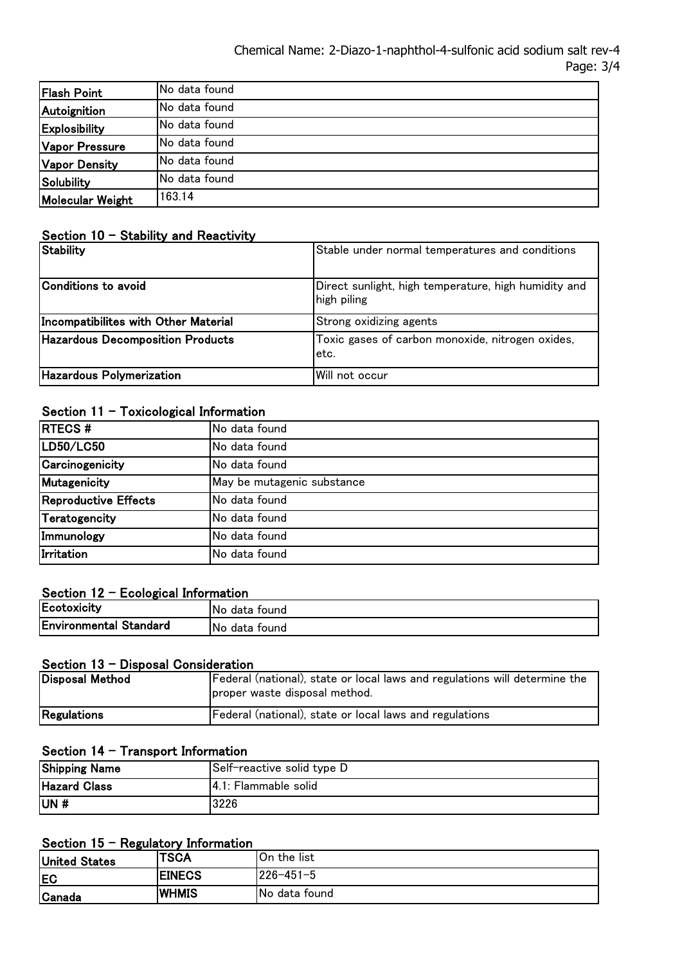| <b>Flash Point</b>      | No data found         |
|-------------------------|-----------------------|
| Autoignition            | No data found         |
| Explosibility           | <b>INo data found</b> |
| Vapor Pressure          | No data found         |
| <b>Vapor Density</b>    | No data found         |
| Solubility              | No data found         |
| <b>Molecular Weight</b> | 163.14                |

### Section  $10 -$  Stability and Reactivity

| <b>Stability</b>                        | Stable under normal temperatures and conditions                     |
|-----------------------------------------|---------------------------------------------------------------------|
| Conditions to avoid                     | Direct sunlight, high temperature, high humidity and<br>high piling |
| Incompatibilites with Other Material    | Strong oxidizing agents                                             |
| <b>Hazardous Decomposition Products</b> | Toxic gases of carbon monoxide, nitrogen oxides,<br>letc.           |
| Hazardous Polymerization                | Will not occur                                                      |

# Section  $11 - T$ oxicological Information

| <b>RTECS#</b>        | No data found              |  |  |
|----------------------|----------------------------|--|--|
| LD50/LC50            | No data found              |  |  |
| Carcinogenicity      | No data found              |  |  |
| Mutagenicity         | May be mutagenic substance |  |  |
| Reproductive Effects | No data found              |  |  |
| Teratogencity        | No data found              |  |  |
| Immunology           | No data found              |  |  |
| Irritation           | No data found              |  |  |

### Section  $12$  - Ecological Information

| Ecotoxicity                   | INo.<br>data found |
|-------------------------------|--------------------|
| <b>Environmental Standard</b> | INo.<br>data found |

#### Section 13 - Disposal Consideration

| Disposal Method | Federal (national), state or local laws and regulations will determine the<br>proper waste disposal method. |
|-----------------|-------------------------------------------------------------------------------------------------------------|
| Regulations     | Federal (national), state or local laws and regulations                                                     |

# Section 14 - Transport Information

| <b>Shipping Name</b> | Self-reactive solid type D |
|----------------------|----------------------------|
| <b>Hazard Class</b>  | 4.1: Flammable solid       |
| lun #                | 3226                       |

## Section  $15$  - Regulatory Information

| <b>United States</b> | <b>TSCA</b>   | <b>1</b> On the list |
|----------------------|---------------|----------------------|
| <b>IEC</b>           | <b>EINECS</b> | 226-451-5            |
| <b>Canada</b>        | <b>IWHMIS</b> | No data found        |